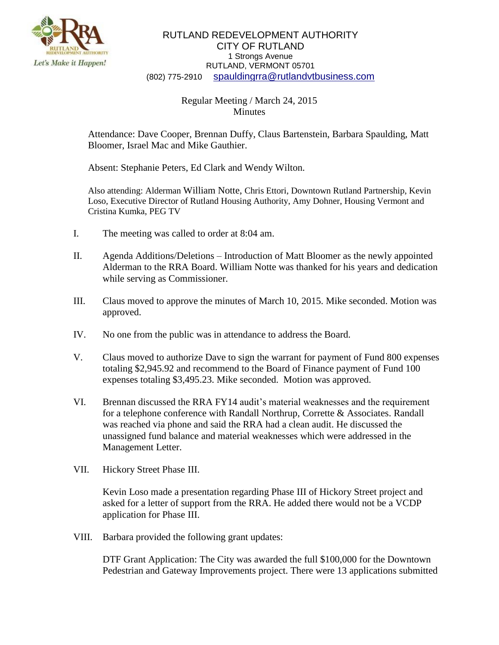

## RUTLAND REDEVELOPMENT AUTHORITY CITY OF RUTLAND 1 Strongs Avenue RUTLAND, VERMONT 05701 (802) 775-2910 [spauldingrra@rutlandvtbusiness.com](mailto:allenrra@rutlandvtbusiness.com)

## Regular Meeting / March 24, 2015 **Minutes**

Attendance: Dave Cooper, Brennan Duffy, Claus Bartenstein, Barbara Spaulding, Matt Bloomer, Israel Mac and Mike Gauthier.

Absent: Stephanie Peters, Ed Clark and Wendy Wilton.

Also attending: Alderman William Notte, Chris Ettori, Downtown Rutland Partnership, Kevin Loso, Executive Director of Rutland Housing Authority, Amy Dohner, Housing Vermont and Cristina Kumka, PEG TV

- I. The meeting was called to order at 8:04 am.
- II. Agenda Additions/Deletions Introduction of Matt Bloomer as the newly appointed Alderman to the RRA Board. William Notte was thanked for his years and dedication while serving as Commissioner.
- III. Claus moved to approve the minutes of March 10, 2015. Mike seconded. Motion was approved.
- IV. No one from the public was in attendance to address the Board.
- V. Claus moved to authorize Dave to sign the warrant for payment of Fund 800 expenses totaling \$2,945.92 and recommend to the Board of Finance payment of Fund 100 expenses totaling \$3,495.23. Mike seconded. Motion was approved.
- VI. Brennan discussed the RRA FY14 audit's material weaknesses and the requirement for a telephone conference with Randall Northrup, Corrette & Associates. Randall was reached via phone and said the RRA had a clean audit. He discussed the unassigned fund balance and material weaknesses which were addressed in the Management Letter.
- VII. Hickory Street Phase III.

Kevin Loso made a presentation regarding Phase III of Hickory Street project and asked for a letter of support from the RRA. He added there would not be a VCDP application for Phase III.

VIII. Barbara provided the following grant updates:

DTF Grant Application: The City was awarded the full \$100,000 for the Downtown Pedestrian and Gateway Improvements project. There were 13 applications submitted